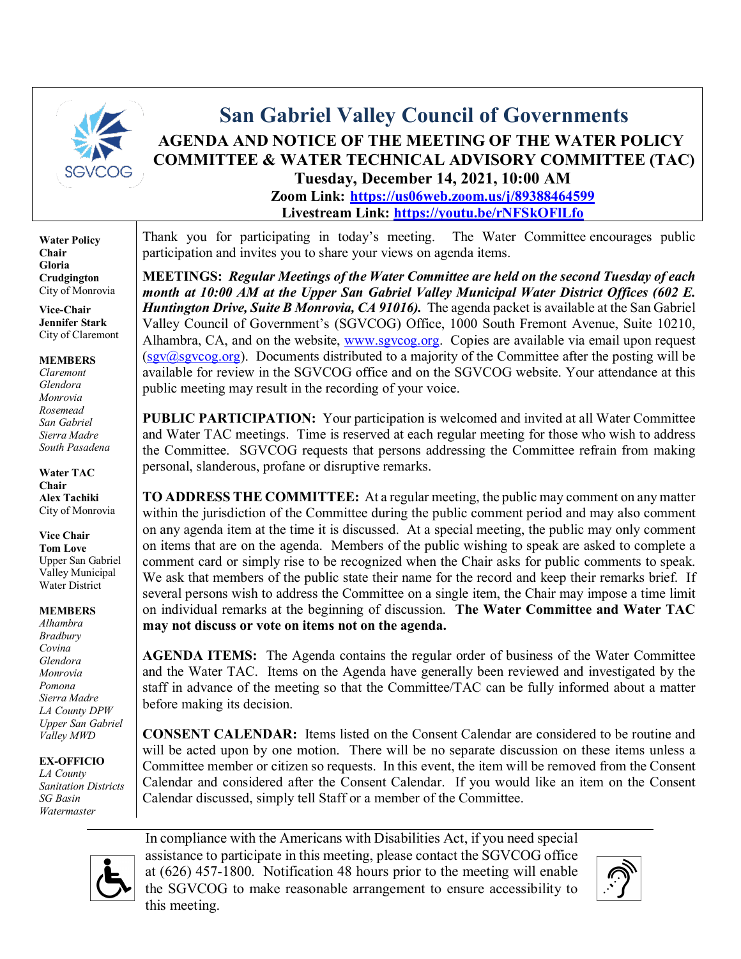

## **San Gabriel Valley Council of Governments AGENDA AND NOTICE OF THE MEETING OF THE WATER POLICY COMMITTEE & WATER TECHNICAL ADVISORY COMMITTEE (TAC) Tuesday, December 14, 2021, 10:00 AM**

**Zoom Link: <https://us06web.zoom.us/j/89388464599> Livestream Link: <https://youtu.be/rNFSkOFlLfo>**

**Water Policy Chair Gloria Crudgington** City of Monrovia

**Vice-Chair Jennifer Stark** City of Claremont

**MEMBERS** *Claremont Glendora* 

*Monrovia Rosemead San Gabriel Sierra Madre South Pasadena*

**Water TAC Chair Alex Tachiki** City of Monrovia

**Vice Chair Tom Love** Upper San Gabriel

Valley Municipal Water District

**MEMBERS**

*Alhambra Bradbury Covina Glendora Monrovia Pomona Sierra Madre LA County DPW Upper San Gabriel Valley MWD*

**EX-OFFICIO**

*LA County Sanitation Districts SG Basin Watermaster*

Thank you for participating in today's meeting. The Water Committee encourages public participation and invites you to share your views on agenda items.

**MEETINGS:** *Regular Meetings of the Water Committee are held on the second Tuesday of each month at 10:00 AM at the Upper San Gabriel Valley Municipal Water District Offices (602 E. Huntington Drive, Suite B Monrovia, CA 91016*). The agenda packet is available at the San Gabriel Valley Council of Government's (SGVCOG) Office, 1000 South Fremont Avenue, Suite 10210, Alhambra, CA, and on the website, [www.sgvcog.org.](http://www.sgvcog.org/) Copies are available via email upon request  $(sgy(\omega)sgv\omega g.org)$ . Documents distributed to a majority of the Committee after the posting will be available for review in the SGVCOG office and on the SGVCOG website. Your attendance at this public meeting may result in the recording of your voice.

**PUBLIC PARTICIPATION:** Your participation is welcomed and invited at all Water Committee and Water TAC meetings. Time is reserved at each regular meeting for those who wish to address the Committee. SGVCOG requests that persons addressing the Committee refrain from making personal, slanderous, profane or disruptive remarks.

**TO ADDRESS THE COMMITTEE:** At a regular meeting, the public may comment on any matter within the jurisdiction of the Committee during the public comment period and may also comment on any agenda item at the time it is discussed. At a special meeting, the public may only comment on items that are on the agenda. Members of the public wishing to speak are asked to complete a comment card or simply rise to be recognized when the Chair asks for public comments to speak. We ask that members of the public state their name for the record and keep their remarks brief. If several persons wish to address the Committee on a single item, the Chair may impose a time limit on individual remarks at the beginning of discussion. **The Water Committee and Water TAC may not discuss or vote on items not on the agenda.** 

**AGENDA ITEMS:** The Agenda contains the regular order of business of the Water Committee and the Water TAC. Items on the Agenda have generally been reviewed and investigated by the staff in advance of the meeting so that the Committee/TAC can be fully informed about a matter before making its decision.

**CONSENT CALENDAR:** Items listed on the Consent Calendar are considered to be routine and will be acted upon by one motion. There will be no separate discussion on these items unless a Committee member or citizen so requests. In this event, the item will be removed from the Consent Calendar and considered after the Consent Calendar. If you would like an item on the Consent Calendar discussed, simply tell Staff or a member of the Committee.



In compliance with the Americans with Disabilities Act, if you need special assistance to participate in this meeting, please contact the SGVCOG office at (626) 457-1800. Notification 48 hours prior to the meeting will enable the SGVCOG to make reasonable arrangement to ensure accessibility to this meeting.

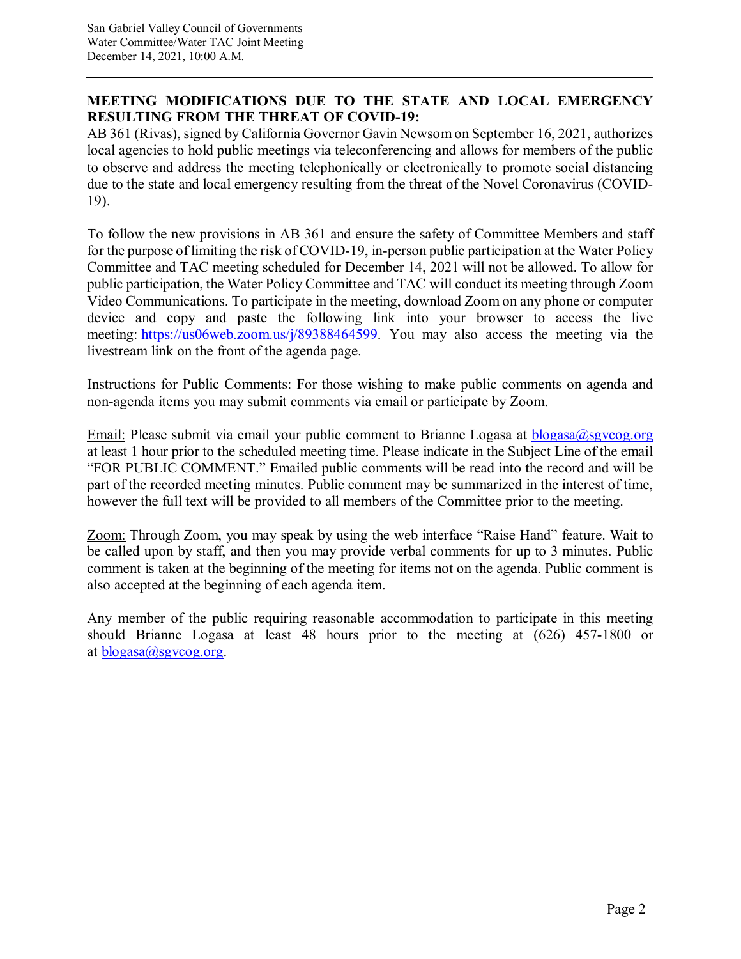### **MEETING MODIFICATIONS DUE TO THE STATE AND LOCAL EMERGENCY RESULTING FROM THE THREAT OF COVID-19:**

AB 361 (Rivas), signed by California Governor Gavin Newsom on September 16, 2021, authorizes local agencies to hold public meetings via teleconferencing and allows for members of the public to observe and address the meeting telephonically or electronically to promote social distancing due to the state and local emergency resulting from the threat of the Novel Coronavirus (COVID-19).

To follow the new provisions in AB 361 and ensure the safety of Committee Members and staff for the purpose of limiting the risk of COVID-19, in-person public participation at the Water Policy Committee and TAC meeting scheduled for December 14, 2021 will not be allowed. To allow for public participation, the Water Policy Committee and TAC will conduct its meeting through Zoom Video Communications. To participate in the meeting, download Zoom on any phone or computer device and copy and paste the following link into your browser to access the live meeting: [https://us06web.zoom.us/j/89388464599.](https://us06web.zoom.us/j/89388464599) You may also access the meeting via the livestream link on the front of the agenda page.

Instructions for Public Comments: For those wishing to make public comments on agenda and non-agenda items you may submit comments via email or participate by Zoom.

Email: Please submit via email your public comment to Brianne Logasa at [blogasa@sgvcog.org](mailto:blogasa@sgvcog.org) at least 1 hour prior to the scheduled meeting time. Please indicate in the Subject Line of the email "FOR PUBLIC COMMENT." Emailed public comments will be read into the record and will be part of the recorded meeting minutes. Public comment may be summarized in the interest of time, however the full text will be provided to all members of the Committee prior to the meeting.

Zoom: Through Zoom, you may speak by using the web interface "Raise Hand" feature. Wait to be called upon by staff, and then you may provide verbal comments for up to 3 minutes. Public comment is taken at the beginning of the meeting for items not on the agenda. Public comment is also accepted at the beginning of each agenda item.

Any member of the public requiring reasonable accommodation to participate in this meeting should Brianne Logasa at least 48 hours prior to the meeting at (626) 457-1800 or at  $blogasa(a)$ sgvcog.org.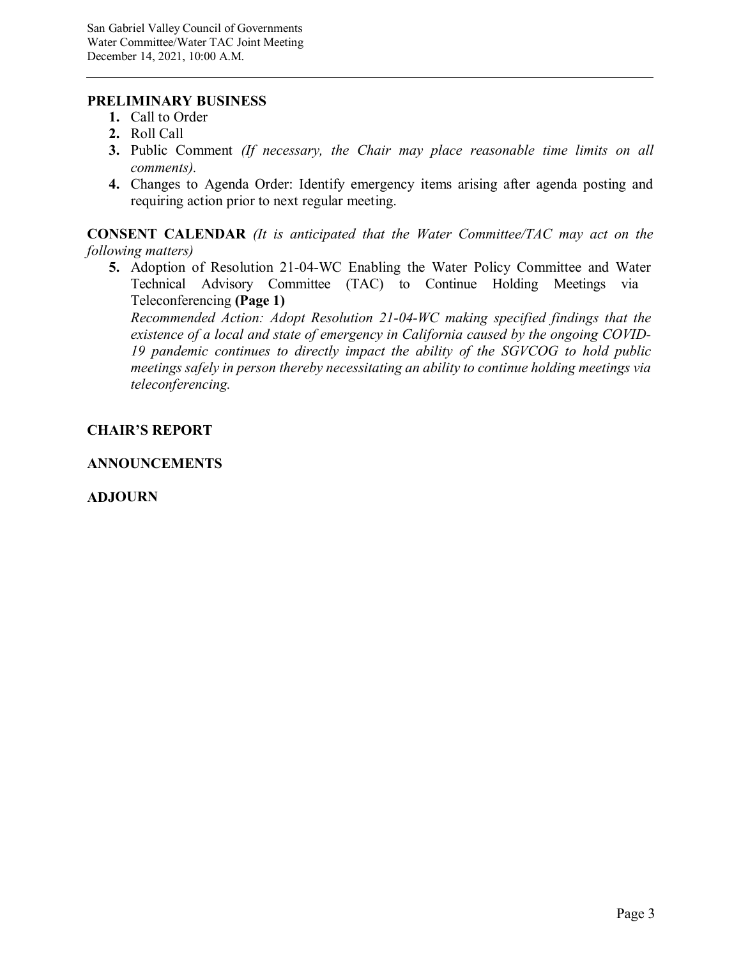#### **PRELIMINARY BUSINESS**

- **1.** Call to Order
- **2.** Roll Call
- **3.** Public Comment *(If necessary, the Chair may place reasonable time limits on all comments).*
- **4.** Changes to Agenda Order: Identify emergency items arising after agenda posting and requiring action prior to next regular meeting.

**CONSENT CALENDAR** *(It is anticipated that the Water Committee/TAC may act on the following matters)*

**5.** Adoption of Resolution 21-04-WC Enabling the Water Policy Committee and Water Technical Advisory Committee (TAC) to Continue Holding Meetings via Teleconferencing **(Page 1)**

*[Recommended Action: Adopt Resolution 21-04-WC making specified findings that the](#page-3-0) existence of a local and state of emergency in California caused by the ongoing COVID-19 pandemic continues to directly impact the ability of the SGVCOG to hold public meetings safely in person thereby necessitating an ability to continue holding meetings via teleconferencing.*

### **CHAIR'S REPORT**

### **ANNOUNCEMENTS**

### **ADJOURN**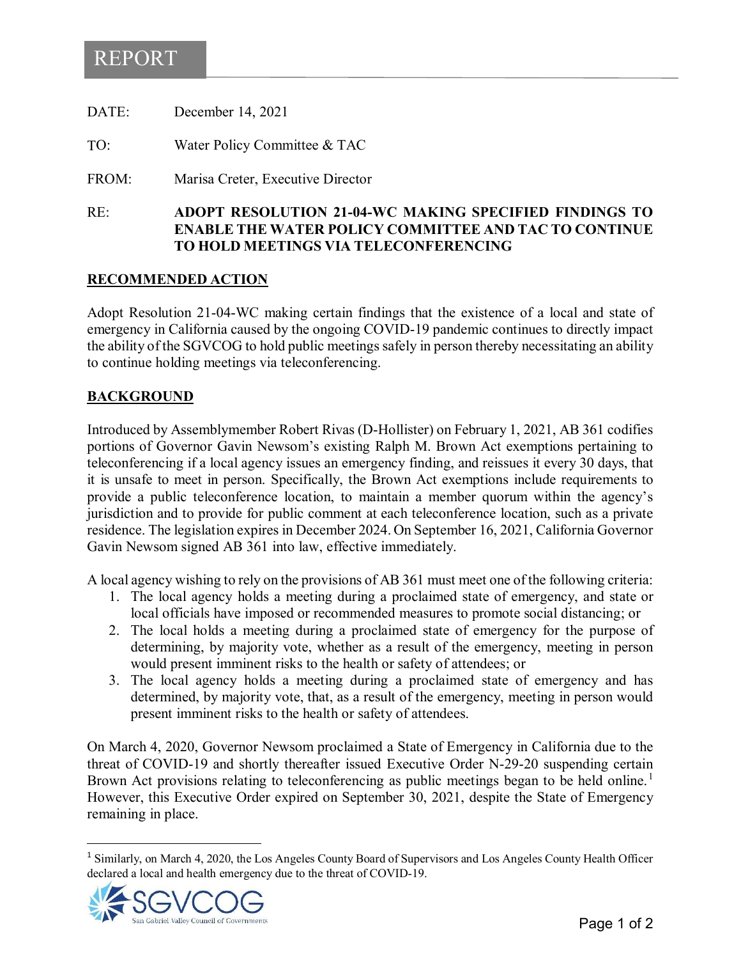# <span id="page-3-0"></span>REPORT

| RE:   | <b>ADOPT RESOLUTION 21-04-WC N</b><br><b>ENABLE THE WATER POLICY CO</b> |
|-------|-------------------------------------------------------------------------|
| FROM: | Marisa Creter, Executive Director                                       |
| TO:   | Water Policy Committee & TAC                                            |
| DATE: | December 14, 2021                                                       |

### RE: **ADOPT RESOLUTION 21-04-WC MAKING SPECIFIED FINDINGS TO EXAMPLER END TAC TO CONTINUE TO HOLD MEETINGS VIA TELECONFERENCING**

### **RECOMMENDED ACTION**

Adopt Resolution 21-04-WC making certain findings that the existence of a local and state of emergency in California caused by the ongoing COVID-19 pandemic continues to directly impact the ability of the SGVCOG to hold public meetings safely in person thereby necessitating an ability to continue holding meetings via teleconferencing.

### **BACKGROUND**

Introduced by Assemblymember Robert Rivas (D-Hollister) on February 1, 2021, AB 361 codifies portions of Governor Gavin Newsom's existing Ralph M. Brown Act exemptions pertaining to teleconferencing if a local agency issues an emergency finding, and reissues it every 30 days, that it is unsafe to meet in person. Specifically, the Brown Act exemptions include requirements to provide a public teleconference location, to maintain a member quorum within the agency's jurisdiction and to provide for public comment at each teleconference location, such as a private residence. The legislation expires in December 2024. On September 16, 2021, California Governor Gavin Newsom signed AB 361 into law, effective immediately.

A local agency wishing to rely on the provisions of AB 361 must meet one of the following criteria:

- 1. The local agency holds a meeting during a proclaimed state of emergency, and state or local officials have imposed or recommended measures to promote social distancing; or
- 2. The local holds a meeting during a proclaimed state of emergency for the purpose of determining, by majority vote, whether as a result of the emergency, meeting in person would present imminent risks to the health or safety of attendees; or
- 3. The local agency holds a meeting during a proclaimed state of emergency and has determined, by majority vote, that, as a result of the emergency, meeting in person would present imminent risks to the health or safety of attendees.

On March 4, 2020, Governor Newsom proclaimed a State of Emergency in California due to the threat of COVID-19 and shortly thereafter issued Executive Order N-29-20 suspending certain Brown Act provisions relating to teleconferencing as public meetings began to be held online.<sup>[1](#page-3-1)</sup> However, this Executive Order expired on September 30, 2021, despite the State of Emergency remaining in place.

<span id="page-3-1"></span><sup>&</sup>lt;sup>1</sup> Similarly, on March 4, 2020, the Los Angeles County Board of Supervisors and Los Angeles County Health Officer declared a local and health emergency due to the threat of COVID-19.